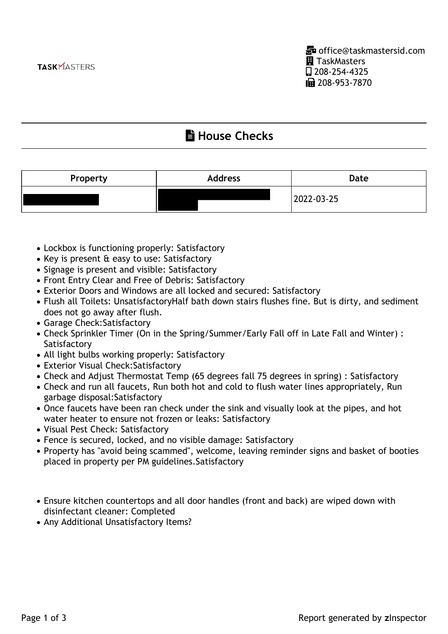## **Lating House Checks**

| Property | <b>Address</b> | Date       |
|----------|----------------|------------|
|          |                | 2022-03-25 |

- Lockbox is functioning properly: Satisfactory
- Key is present & easy to use: Satisfactory
- Signage is present and visible: Satisfactory
- Front Entry Clear and Free of Debris: Satisfactory
- Exterior Doors and Windows are all locked and secured: Satisfactory
- Flush all Toilets: UnsatisfactoryHalf bath down stairs flushes fine. But is dirty, and sediment does not go away after flush.
- Garage Check:Satisfactory
- Check Sprinkler Timer (On in the Spring/Summer/Early Fall off in Late Fall and Winter) : **Satisfactory**
- All light bulbs working properly: Satisfactory
- Exterior Visual Check:Satisfactory
- Check and Adjust Thermostat Temp (65 degrees fall 75 degrees in spring) : Satisfactory
- Check and run all faucets, Run both hot and cold to flush water lines appropriately, Run garbage disposal:Satisfactory
- Once faucets have been ran check under the sink and visually look at the pipes, and hot water heater to ensure not frozen or leaks: Satisfactory
- Visual Pest Check: Satisfactory
- Fence is secured, locked, and no visible damage: Satisfactory
- Property has "avoid being scammed", welcome, leaving reminder signs and basket of booties placed in property per PM guidelines.Satisfactory
- Ensure kitchen countertops and all door handles (front and back) are wiped down with disinfectant cleaner: Completed
- Any Additional Unsatisfactory Items?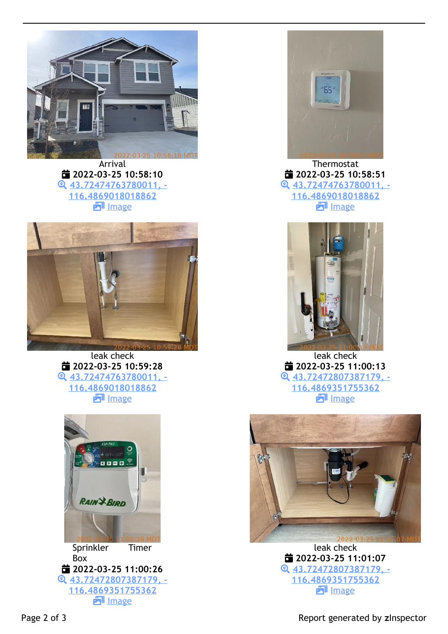

Arrival  **2022-03-25 10:58:10 43.72474763780011, - 116.4869018018862 ET** Image



leak check  **2022-03-25 10:59:28 43.72474763780011, - 116.4869018018862 E**lmage



 **43.72472807387179, - 116.4869351755362 ET** Image



Thermostat  **2022-03-25 10:58:51 43.72474763780011, - 116.4869018018862 ET** Image



leak check  **2022-03-25 11:00:13 43.72472807387179, - 116.4869351755362 E**lmage



leak check  **2022-03-25 11:01:07 43.72472807387179, - 116.4869351755362 E**lmage